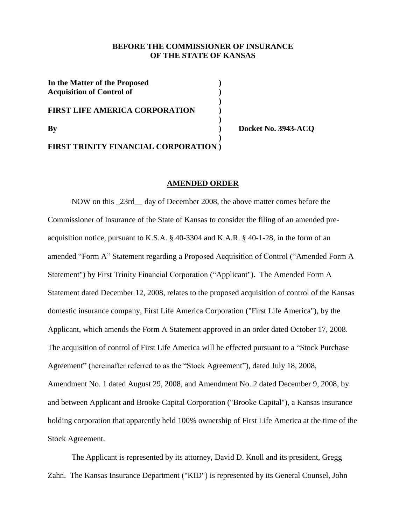### **BEFORE THE COMMISSIONER OF INSURANCE OF THE STATE OF KANSAS**

| In the Matter of the Proposed<br><b>Acquisition of Control of</b> |  |
|-------------------------------------------------------------------|--|
| <b>FIRST LIFE AMERICA CORPORATION</b>                             |  |
| $\mathbf{B}\mathbf{v}$                                            |  |
| <b>FIRST TRINITY FINANCIAL CORPORATION</b> )                      |  |

**By ) Docket No. 3943-ACQ**

# **AMENDED ORDER**

NOW on this \_23rd\_\_ day of December 2008, the above matter comes before the Commissioner of Insurance of the State of Kansas to consider the filing of an amended preacquisition notice, pursuant to K.S.A. § 40-3304 and K.A.R. § 40-1-28, in the form of an amended "Form A" Statement regarding a Proposed Acquisition of Control ("Amended Form A Statement") by First Trinity Financial Corporation ("Applicant"). The Amended Form A Statement dated December 12, 2008, relates to the proposed acquisition of control of the Kansas domestic insurance company, First Life America Corporation ("First Life America"), by the Applicant, which amends the Form A Statement approved in an order dated October 17, 2008. The acquisition of control of First Life America will be effected pursuant to a "Stock Purchase Agreement" (hereinafter referred to as the "Stock Agreement"), dated July 18, 2008, Amendment No. 1 dated August 29, 2008, and Amendment No. 2 dated December 9, 2008, by and between Applicant and Brooke Capital Corporation ("Brooke Capital"), a Kansas insurance holding corporation that apparently held 100% ownership of First Life America at the time of the Stock Agreement.

The Applicant is represented by its attorney, David D. Knoll and its president, Gregg Zahn. The Kansas Insurance Department ("KID") is represented by its General Counsel, John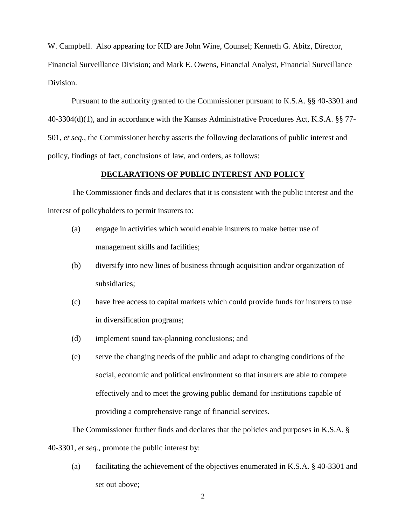W. Campbell. Also appearing for KID are John Wine, Counsel; Kenneth G. Abitz, Director, Financial Surveillance Division; and Mark E. Owens, Financial Analyst, Financial Surveillance Division.

Pursuant to the authority granted to the Commissioner pursuant to K.S.A. §§ 40-3301 and 40-3304(d)(1), and in accordance with the Kansas Administrative Procedures Act, K.S.A. §§ 77- 501, *et seq.,* the Commissioner hereby asserts the following declarations of public interest and policy, findings of fact, conclusions of law, and orders, as follows:

## **DECLARATIONS OF PUBLIC INTEREST AND POLICY**

The Commissioner finds and declares that it is consistent with the public interest and the interest of policyholders to permit insurers to:

- (a) engage in activities which would enable insurers to make better use of management skills and facilities;
- (b) diversify into new lines of business through acquisition and/or organization of subsidiaries;
- (c) have free access to capital markets which could provide funds for insurers to use in diversification programs;
- (d) implement sound tax-planning conclusions; and
- (e) serve the changing needs of the public and adapt to changing conditions of the social, economic and political environment so that insurers are able to compete effectively and to meet the growing public demand for institutions capable of providing a comprehensive range of financial services.

The Commissioner further finds and declares that the policies and purposes in K.S.A. § 40-3301, *et seq.,* promote the public interest by:

(a) facilitating the achievement of the objectives enumerated in K.S.A. § 40-3301 and set out above;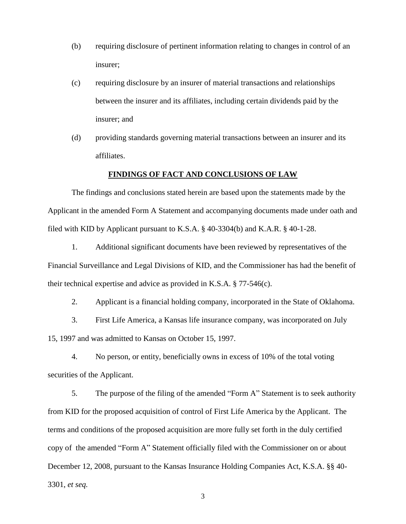- (b) requiring disclosure of pertinent information relating to changes in control of an insurer;
- (c) requiring disclosure by an insurer of material transactions and relationships between the insurer and its affiliates, including certain dividends paid by the insurer; and
- (d) providing standards governing material transactions between an insurer and its affiliates.

#### **FINDINGS OF FACT AND CONCLUSIONS OF LAW**

The findings and conclusions stated herein are based upon the statements made by the Applicant in the amended Form A Statement and accompanying documents made under oath and filed with KID by Applicant pursuant to K.S.A. § 40-3304(b) and K.A.R. § 40-1-28.

1. Additional significant documents have been reviewed by representatives of the Financial Surveillance and Legal Divisions of KID, and the Commissioner has had the benefit of their technical expertise and advice as provided in K.S.A. § 77-546(c).

2. Applicant is a financial holding company, incorporated in the State of Oklahoma.

3. First Life America, a Kansas life insurance company, was incorporated on July 15, 1997 and was admitted to Kansas on October 15, 1997.

4. No person, or entity, beneficially owns in excess of 10% of the total voting securities of the Applicant.

5. The purpose of the filing of the amended "Form A" Statement is to seek authority from KID for the proposed acquisition of control of First Life America by the Applicant. The terms and conditions of the proposed acquisition are more fully set forth in the duly certified copy of the amended "Form A" Statement officially filed with the Commissioner on or about December 12, 2008, pursuant to the Kansas Insurance Holding Companies Act, K.S.A. §§ 40- 3301, *et seq.*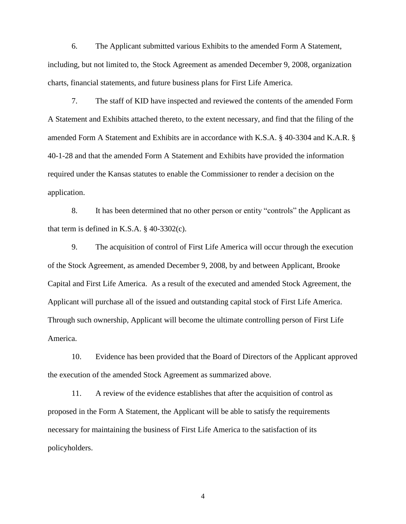6. The Applicant submitted various Exhibits to the amended Form A Statement, including, but not limited to, the Stock Agreement as amended December 9, 2008, organization charts, financial statements, and future business plans for First Life America.

7. The staff of KID have inspected and reviewed the contents of the amended Form A Statement and Exhibits attached thereto, to the extent necessary, and find that the filing of the amended Form A Statement and Exhibits are in accordance with K.S.A. § 40-3304 and K.A.R. § 40-1-28 and that the amended Form A Statement and Exhibits have provided the information required under the Kansas statutes to enable the Commissioner to render a decision on the application.

8. It has been determined that no other person or entity "controls" the Applicant as that term is defined in K.S.A. § 40-3302(c).

9. The acquisition of control of First Life America will occur through the execution of the Stock Agreement, as amended December 9, 2008, by and between Applicant, Brooke Capital and First Life America. As a result of the executed and amended Stock Agreement, the Applicant will purchase all of the issued and outstanding capital stock of First Life America. Through such ownership, Applicant will become the ultimate controlling person of First Life America.

10. Evidence has been provided that the Board of Directors of the Applicant approved the execution of the amended Stock Agreement as summarized above.

11. A review of the evidence establishes that after the acquisition of control as proposed in the Form A Statement, the Applicant will be able to satisfy the requirements necessary for maintaining the business of First Life America to the satisfaction of its policyholders.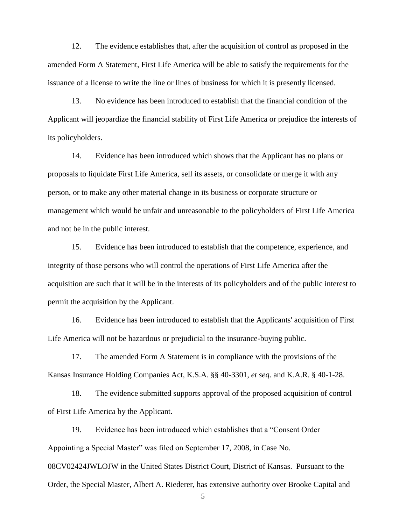12. The evidence establishes that, after the acquisition of control as proposed in the amended Form A Statement, First Life America will be able to satisfy the requirements for the issuance of a license to write the line or lines of business for which it is presently licensed.

13. No evidence has been introduced to establish that the financial condition of the Applicant will jeopardize the financial stability of First Life America or prejudice the interests of its policyholders.

14. Evidence has been introduced which shows that the Applicant has no plans or proposals to liquidate First Life America, sell its assets, or consolidate or merge it with any person, or to make any other material change in its business or corporate structure or management which would be unfair and unreasonable to the policyholders of First Life America and not be in the public interest.

15. Evidence has been introduced to establish that the competence, experience, and integrity of those persons who will control the operations of First Life America after the acquisition are such that it will be in the interests of its policyholders and of the public interest to permit the acquisition by the Applicant.

16. Evidence has been introduced to establish that the Applicants' acquisition of First Life America will not be hazardous or prejudicial to the insurance-buying public.

17. The amended Form A Statement is in compliance with the provisions of the Kansas Insurance Holding Companies Act, K.S.A. §§ 40-3301, *et seq*. and K.A.R. § 40-1-28.

18. The evidence submitted supports approval of the proposed acquisition of control of First Life America by the Applicant.

19. Evidence has been introduced which establishes that a "Consent Order Appointing a Special Master" was filed on September 17, 2008, in Case No. 08CV02424JWLOJW in the United States District Court, District of Kansas. Pursuant to the Order, the Special Master, Albert A. Riederer, has extensive authority over Brooke Capital and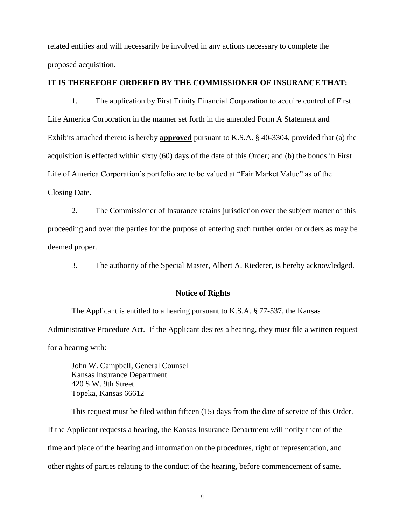related entities and will necessarily be involved in any actions necessary to complete the proposed acquisition.

#### **IT IS THEREFORE ORDERED BY THE COMMISSIONER OF INSURANCE THAT:**

1. The application by First Trinity Financial Corporation to acquire control of First Life America Corporation in the manner set forth in the amended Form A Statement and Exhibits attached thereto is hereby **approved** pursuant to K.S.A. § 40-3304, provided that (a) the acquisition is effected within sixty (60) days of the date of this Order; and (b) the bonds in First Life of America Corporation's portfolio are to be valued at "Fair Market Value" as of the Closing Date.

2. The Commissioner of Insurance retains jurisdiction over the subject matter of this proceeding and over the parties for the purpose of entering such further order or orders as may be deemed proper.

3. The authority of the Special Master, Albert A. Riederer, is hereby acknowledged.

#### **Notice of Rights**

The Applicant is entitled to a hearing pursuant to K.S.A. § 77-537, the Kansas Administrative Procedure Act. If the Applicant desires a hearing, they must file a written request for a hearing with:

John W. Campbell, General Counsel Kansas Insurance Department 420 S.W. 9th Street Topeka, Kansas 66612

This request must be filed within fifteen (15) days from the date of service of this Order. If the Applicant requests a hearing, the Kansas Insurance Department will notify them of the time and place of the hearing and information on the procedures, right of representation, and other rights of parties relating to the conduct of the hearing, before commencement of same.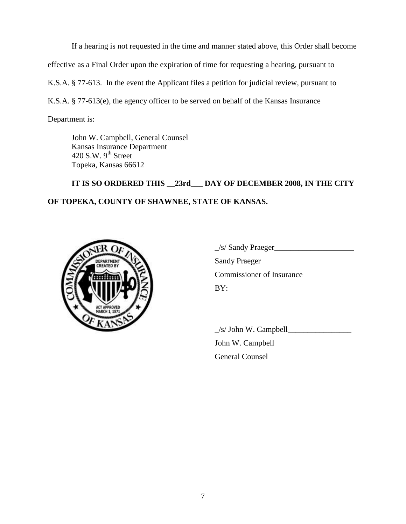If a hearing is not requested in the time and manner stated above, this Order shall become effective as a Final Order upon the expiration of time for requesting a hearing, pursuant to K.S.A. § 77-613. In the event the Applicant files a petition for judicial review, pursuant to K.S.A. § 77-613(e), the agency officer to be served on behalf of the Kansas Insurance

Department is:

John W. Campbell, General Counsel Kansas Insurance Department 420 S.W.  $9<sup>th</sup>$  Street Topeka, Kansas 66612

# **IT IS SO ORDERED THIS \_\_23rd\_\_\_ DAY OF DECEMBER 2008, IN THE CITY OF TOPEKA, COUNTY OF SHAWNEE, STATE OF KANSAS.**



 $\angle$ s/ Sandy Praeger $\angle$ Sandy Praeger Commissioner of Insurance BY:

 $\angle$ s/ John W. Campbell $\angle$ 

John W. Campbell General Counsel